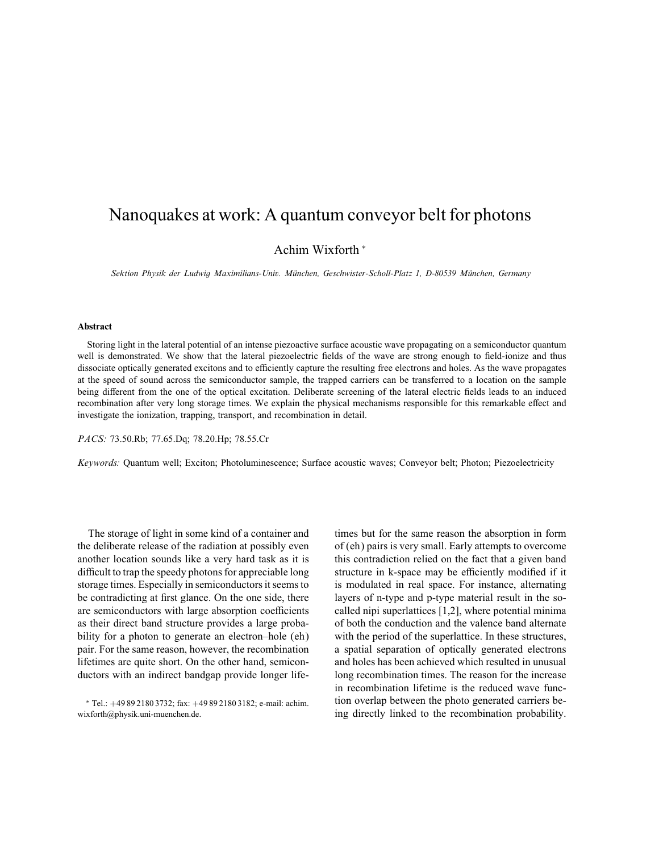## Nanoquakes at work: A quantum conveyor belt for photons

Achim Wixforth ∗

Sektion Physik der Ludwig Maximilians-Univ. Munchen, Geschwister-Scholl-Platz 1, D-80539 Munchen, Germany

## Abstract

Storing light in the lateral potential of an intense piezoactive surface acoustic wave propagating on a semiconductor quantum well is demonstrated. We show that the lateral piezoelectric fields of the wave are strong enough to field-ionize and thus dissociate optically generated excitons and to efficiently capture the resulting free electrons and holes. As the wave propagates at the speed of sound across the semiconductor sample, the trapped carriers can be transferred to a location on the sample being different from the one of the optical excitation. Deliberate screening of the lateral electric fields leads to an induced recombination after very long storage times. We explain the physical mechanisms responsible for this remarkable effect and investigate the ionization, trapping, transport, and recombination in detail.

PACS: 73.50.Rb; 77.65.Dq; 78.20.Hp; 78.55.Cr

Keywords: Quantum well; Exciton; Photoluminescence; Surface acoustic waves; Conveyor belt; Photon; Piezoelectricity

The storage of light in some kind of a container and the deliberate release of the radiation at possibly even another location sounds like a very hard task as it is difficult to trap the speedy photons for appreciable long storage times. Especially in semiconductors it seems to be contradicting at first glance. On the one side, there are semiconductors with large absorption coefficients as their direct band structure provides a large probability for a photon to generate an electron–hole (eh) pair. For the same reason, however, the recombination lifetimes are quite short. On the other hand, semiconductors with an indirect bandgap provide longer lifetimes but for the same reason the absorption in form of (eh) pairs is very small. Early attempts to overcome this contradiction relied on the fact that a given band structure in k-space may be efficiently modified if it is modulated in real space. For instance, alternating layers of n-type and p-type material result in the socalled nipi superlattices [1,2], where potential minima of both the conduction and the valence band alternate with the period of the superlattice. In these structures, a spatial separation of optically generated electrons and holes has been achieved which resulted in unusual long recombination times. The reason for the increase in recombination lifetime is the reduced wave function overlap between the photo generated carriers being directly linked to the recombination probability.

<sup>∗</sup> Tel.: +49 89 2180 3732; fax: +49 89 2180 3182; e-mail: achim. wixforth@physik.uni-muenchen.de.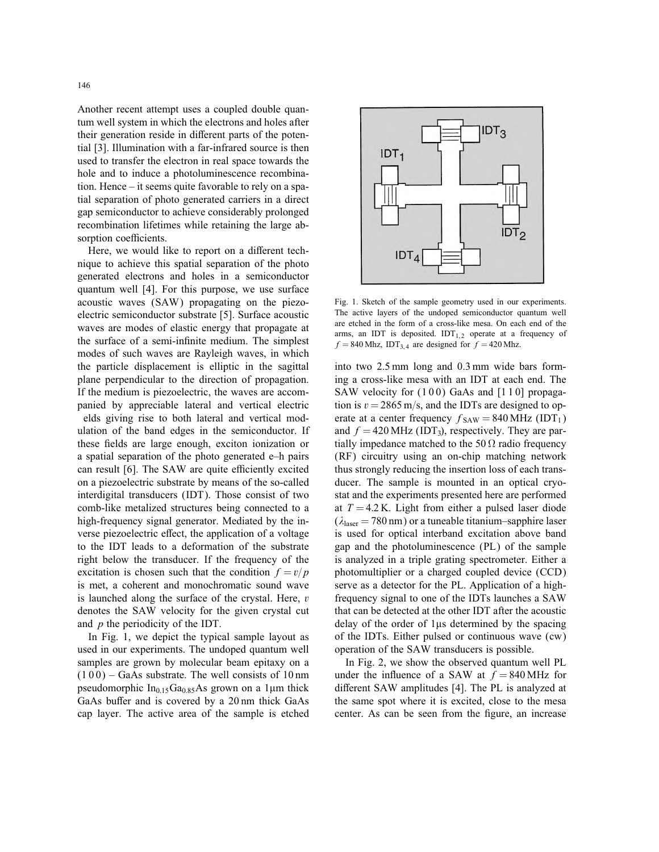Another recent attempt uses a coupled double quantum well system in which the electrons and holes after their generation reside in different parts of the potential [3]. Illumination with a far-infrared source is then used to transfer the electron in real space towards the hole and to induce a photoluminescence recombination. Hence – it seems quite favorable to rely on a spatial separation of photo generated carriers in a direct gap semiconductor to achieve considerably prolonged recombination lifetimes while retaining the large absorption coefficients.

Here, we would like to report on a different technique to achieve this spatial separation of the photo generated electrons and holes in a semiconductor quantum well [4]. For this purpose, we use surface acoustic waves (SAW) propagating on the piezoelectric semiconductor substrate [5]. Surface acoustic waves are modes of elastic energy that propagate at the surface of a semi-infinite medium. The simplest modes of such waves are Rayleigh waves, in which the particle displacement is elliptic in the sagittal plane perpendicular to the direction of propagation. If the medium is piezoelectric, the waves are accompanied by appreciable lateral and vertical electric elds giving rise to both lateral and vertical modulation of the band edges in the semiconductor. If these fields are large enough, exciton ionization or a spatial separation of the photo generated e–h pairs can result [6]. The SAW are quite efficiently excited on a piezoelectric substrate by means of the so-called interdigital transducers (IDT). Those consist of two comb-like metalized structures being connected to a high-frequency signal generator. Mediated by the inverse piezoelectric effect, the application of a voltage to the IDT leads to a deformation of the substrate right below the transducer. If the frequency of the excitation is chosen such that the condition  $f = v/p$ is met, a coherent and monochromatic sound wave is launched along the surface of the crystal. Here,  $v$ denotes the SAW velocity for the given crystal cut and  $p$  the periodicity of the IDT.

In Fig. 1, we depict the typical sample layout as used in our experiments. The undoped quantum well samples are grown by molecular beam epitaxy on a  $(100)$  – GaAs substrate. The well consists of 10 nm pseudomorphic  $In<sub>0.15</sub>Ga<sub>0.85</sub>As grown on a 1µm thick$ GaAs buffer and is covered by a 20 nm thick GaAs cap layer. The active area of the sample is etched



Fig. 1. Sketch of the sample geometry used in our experiments. The active layers of the undoped semiconductor quantum well are etched in the form of a cross-like mesa. On each end of the arms, an IDT is deposited.  $IDT<sub>1,2</sub>$  operate at a frequency of  $f = 840$  Mhz, IDT<sub>3,4</sub> are designed for  $f = 420$  Mhz.

into two 2.5 mm long and 0.3 mm wide bars forming a cross-like mesa with an IDT at each end. The SAW velocity for  $(100)$  GaAs and  $[110]$  propagation is  $v = 2865$  m/s, and the IDTs are designed to operate at a center frequency  $f_{SAW} = 840 \text{ MHz (IDT}_1)$ and  $f = 420 \text{ MHz (IDT}_3)$ , respectively. They are partially impedance matched to the 50  $\Omega$  radio frequency (RF) circuitry using an on-chip matching network thus strongly reducing the insertion loss of each transducer. The sample is mounted in an optical cryostat and the experiments presented here are performed at  $T = 4.2$  K. Light from either a pulsed laser diode  $(\lambda_{\text{laser}} = 780 \text{ nm})$  or a tuneable titanium–sapphire laser is used for optical interband excitation above band gap and the photoluminescence (PL) of the sample is analyzed in a triple grating spectrometer. Either a photomultiplier or a charged coupled device (CCD) serve as a detector for the PL. Application of a highfrequency signal to one of the IDTs launches a SAW that can be detected at the other IDT after the acoustic delay of the order of  $1\mu s$  determined by the spacing of the IDTs. Either pulsed or continuous wave (cw) operation of the SAW transducers is possible.

In Fig. 2, we show the observed quantum well PL under the influence of a SAW at  $f = 840 \text{ MHz}$  for different SAW amplitudes [4]. The PL is analyzed at the same spot where it is excited, close to the mesa center. As can be seen from the figure, an increase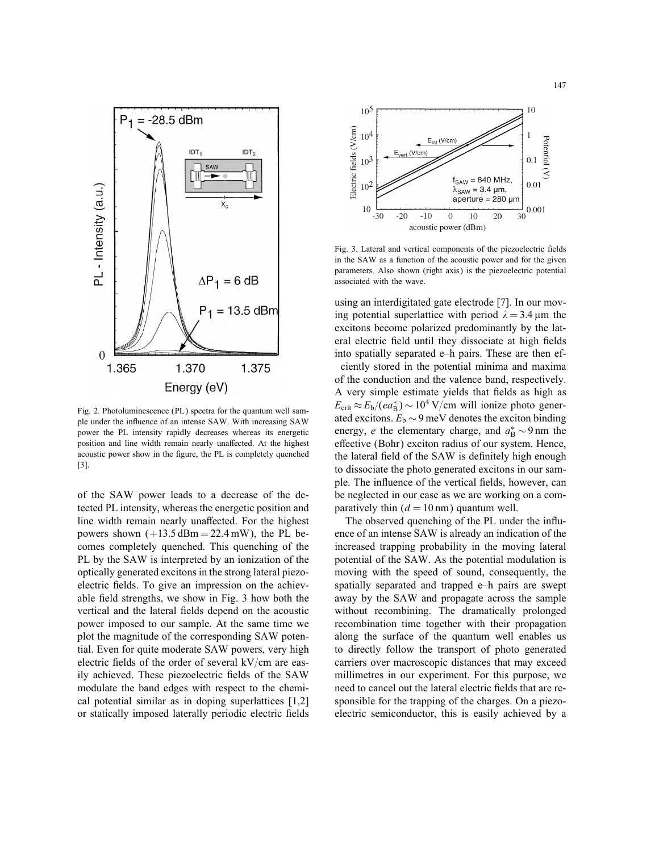

Fig. 2. Photoluminescence (PL) spectra for the quantum well sample under the influence of an intense SAW. With increasing SAW power the PL intensity rapidly decreases whereas its energetic position and line width remain nearly unaffected. At the highest acoustic power show in the figure, the PL is completely quenched [3].

of the SAW power leads to a decrease of the detected PL intensity, whereas the energetic position and line width remain nearly unaffected. For the highest powers shown  $(+13.5 \text{ dBm} = 22.4 \text{ mW})$ , the PL becomes completely quenched. This quenching of the PL by the SAW is interpreted by an ionization of the optically generated excitons in the strong lateral piezoelectric fields. To give an impression on the achievable field strengths, we show in Fig. 3 how both the vertical and the lateral fields depend on the acoustic power imposed to our sample. At the same time we plot the magnitude of the corresponding SAW potential. Even for quite moderate SAW powers, very high electric fields of the order of several  $kV/cm$  are easily achieved. These piezoelectric fields of the SAW modulate the band edges with respect to the chemical potential similar as in doping superlattices [1,2] or statically imposed laterally periodic electric fields



Fig. 3. Lateral and vertical components of the piezoelectric fields in the SAW as a function of the acoustic power and for the given parameters. Also shown (right axis) is the piezoelectric potential associated with the wave.

using an interdigitated gate electrode [7]. In our moving potential superlattice with period  $\lambda = 3.4 \,\text{\ensuremath{\mu}m}$  the excitons become polarized predominantly by the lateral electric field until they dissociate at high fields into spatially separated e–h pairs. These are then ef-

ciently stored in the potential minima and maxima of the conduction and the valence band, respectively. A very simple estimate yields that fields as high as  $E_{\text{crit}} \approx E_b/(ea_B^*) \sim 10^4 \text{ V/cm}$  will ionize photo generated excitons.  $E_b \sim 9$  meV denotes the exciton binding energy, *e* the elementary charge, and  $a_B^* \sim 9 \text{ nm}$  the effective (Bohr) exciton radius of our system. Hence, the lateral field of the SAW is definitely high enough to dissociate the photo generated excitons in our sample. The influence of the vertical fields, however, can be neglected in our case as we are working on a comparatively thin  $(d = 10 \text{ nm})$  quantum well.

The observed quenching of the PL under the influence of an intense SAW is already an indication of the increased trapping probability in the moving lateral potential of the SAW. As the potential modulation is moving with the speed of sound, consequently, the spatially separated and trapped e–h pairs are swept away by the SAW and propagate across the sample without recombining. The dramatically prolonged recombination time together with their propagation along the surface of the quantum well enables us to directly follow the transport of photo generated carriers over macroscopic distances that may exceed millimetres in our experiment. For this purpose, we need to cancel out the lateral electric fields that are responsible for the trapping of the charges. On a piezoelectric semiconductor, this is easily achieved by a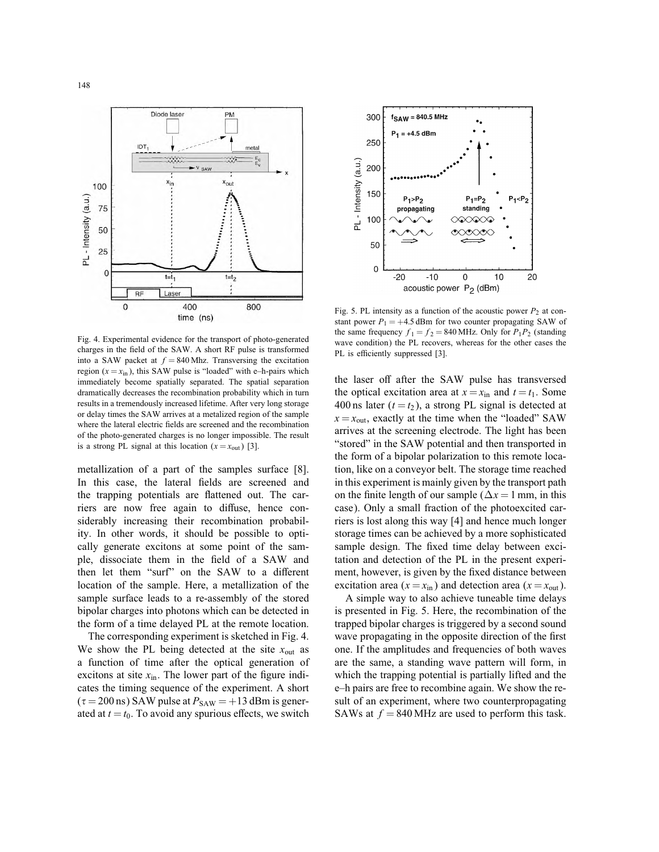



Fig. 4. Experimental evidence for the transport of photo-generated charges in the field of the SAW. A short RF pulse is transformed into a SAW packet at  $f = 840$  Mhz. Transversing the excitation region  $(x = x_{in})$ , this SAW pulse is "loaded" with e–h-pairs which immediately become spatially separated. The spatial separation dramatically decreases the recombination probability which in turn results in a tremendously increased lifetime. After very long storage or delay times the SAW arrives at a metalized region of the sample where the lateral electric fields are screened and the recombination of the photo-generated charges is no longer impossible. The result is a strong PL signal at this location  $(x = x_{out})$  [3].

metallization of a part of the samples surface [8]. In this case, the lateral fields are screened and the trapping potentials are flattened out. The carriers are now free again to diffuse, hence considerably increasing their recombination probability. In other words, it should be possible to optically generate excitons at some point of the sample, dissociate them in the field of a SAW and then let them "surf" on the SAW to a different location of the sample. Here, a metallization of the sample surface leads to a re-assembly of the stored bipolar charges into photons which can be detected in the form of a time delayed PL at the remote location.

The corresponding experiment is sketched in Fig. 4. We show the PL being detected at the site  $x_{\text{out}}$  as a function of time after the optical generation of excitons at site  $x_{in}$ . The lower part of the figure indicates the timing sequence of the experiment. A short  $(\tau = 200 \text{ ns})$  SAW pulse at  $P_{SAW} = +13 \text{ dBm}$  is generated at  $t = t_0$ . To avoid any spurious effects, we switch

Fig. 5. PL intensity as a function of the acoustic power  $P_2$  at constant power  $P_1 = +4.5$  dBm for two counter propagating SAW of the same frequency  $f_1 = f_2 = 840$  MHz. Only for  $P_1P_2$  (standing wave condition) the PL recovers, whereas for the other cases the PL is efficiently suppressed [3].

the laser off after the SAW pulse has transversed the optical excitation area at  $x = x_{in}$  and  $t = t_1$ . Some 400 ns later  $(t = t_2)$ , a strong PL signal is detected at  $x = x_{\text{out}}$ , exactly at the time when the "loaded" SAW arrives at the screening electrode. The light has been "stored" in the SAW potential and then transported in the form of a bipolar polarization to this remote location, like on a conveyor belt. The storage time reached in this experiment is mainly given by the transport path on the finite length of our sample ( $\Delta x = 1$  mm, in this case). Only a small fraction of the photoexcited carriers is lost along this way [4] and hence much longer storage times can be achieved by a more sophisticated sample design. The fixed time delay between excitation and detection of the PL in the present experiment, however, is given by the fixed distance between excitation area ( $x = x_{\text{in}}$ ) and detection area ( $x = x_{\text{out}}$ ).

A simple way to also achieve tuneable time delays is presented in Fig. 5. Here, the recombination of the trapped bipolar charges is triggered by a second sound wave propagating in the opposite direction of the first one. If the amplitudes and frequencies of both waves are the same, a standing wave pattern will form, in which the trapping potential is partially lifted and the e–h pairs are free to recombine again. We show the result of an experiment, where two counterpropagating SAWs at  $f = 840$  MHz are used to perform this task.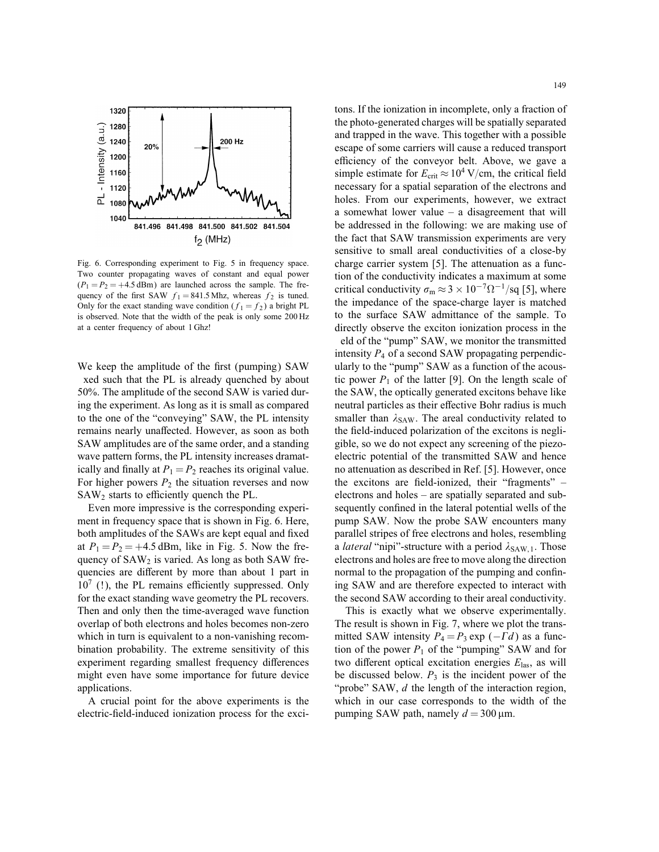

Fig. 6. Corresponding experiment to Fig. 5 in frequency space. Two counter propagating waves of constant and equal power  $(P_1 = P_2 = +4.5$  dBm) are launched across the sample. The frequency of the first SAW  $f_1 = 841.5$  Mhz, whereas  $f_2$  is tuned. Only for the exact standing wave condition ( $f_1 = f_2$ ) a bright PL is observed. Note that the width of the peak is only some 200 Hz at a center frequency of about 1 Ghz!

We keep the amplitude of the first (pumping) SAW xed such that the PL is already quenched by about 50%. The amplitude of the second SAW is varied during the experiment. As long as it is small as compared to the one of the "conveying" SAW, the PL intensity remains nearly unaffected. However, as soon as both SAW amplitudes are of the same order, and a standing wave pattern forms, the PL intensity increases dramatically and finally at  $P_1 = P_2$  reaches its original value. For higher powers  $P_2$  the situation reverses and now  $SAW<sub>2</sub>$  starts to efficiently quench the PL.

Even more impressive is the corresponding experiment in frequency space that is shown in Fig. 6. Here, both amplitudes of the SAWs are kept equal and fixed at  $P_1 = P_2 = +4.5$  dBm, like in Fig. 5. Now the frequency of  $SAW<sub>2</sub>$  is varied. As long as both SAW frequencies are different by more than about 1 part in  $10<sup>7</sup>$  (!), the PL remains efficiently suppressed. Only for the exact standing wave geometry the PL recovers. Then and only then the time-averaged wave function overlap of both electrons and holes becomes non-zero which in turn is equivalent to a non-vanishing recombination probability. The extreme sensitivity of this experiment regarding smallest frequency differences might even have some importance for future device applications.

A crucial point for the above experiments is the electric-field-induced ionization process for the excitons. If the ionization in incomplete, only a fraction of the photo-generated charges will be spatially separated and trapped in the wave. This together with a possible escape of some carriers will cause a reduced transport efficiency of the conveyor belt. Above, we gave a simple estimate for  $E_{\text{crit}} \approx 10^4 \text{ V/cm}$ , the critical field necessary for a spatial separation of the electrons and holes. From our experiments, however, we extract a somewhat lower value – a disagreement that will be addressed in the following: we are making use of the fact that SAW transmission experiments are very sensitive to small areal conductivities of a close-by charge carrier system [5]. The attenuation as a function of the conductivity indicates a maximum at some critical conductivity  $\sigma_{\rm m} \approx 3 \times 10^{-7} \Omega^{-1} / \text{sq}$  [5], where the impedance of the space-charge layer is matched to the surface SAW admittance of the sample. To directly observe the exciton ionization process in the eld of the "pump" SAW, we monitor the transmitted intensity  $P_4$  of a second SAW propagating perpendicularly to the "pump" SAW as a function of the acoustic power  $P_1$  of the latter [9]. On the length scale of the SAW, the optically generated excitons behave like neutral particles as their effective Bohr radius is much smaller than  $\lambda_{SAW}$ . The areal conductivity related to the field-induced polarization of the excitons is negligible, so we do not expect any screening of the piezoelectric potential of the transmitted SAW and hence no attenuation as described in Ref. [5]. However, once the excitons are field-ionized, their "fragments"  $$ electrons and holes – are spatially separated and subsequently confined in the lateral potential wells of the pump SAW. Now the probe SAW encounters many parallel stripes of free electrons and holes, resembling a *lateral* "nipi"-structure with a period  $\lambda_{\text{SAW},1}$ . Those electrons and holes are free to move along the direction normal to the propagation of the pumping and confining SAW and are therefore expected to interact with the second SAW according to their areal conductivity.

This is exactly what we observe experimentally. The result is shown in Fig. 7, where we plot the transmitted SAW intensity  $P_4 = P_3 \exp(-\Gamma d)$  as a function of the power  $P_1$  of the "pumping" SAW and for two different optical excitation energies  $E_{\text{las}}$ , as will be discussed below.  $P_3$  is the incident power of the "probe" SAW, d the length of the interaction region, which in our case corresponds to the width of the pumping SAW path, namely  $d = 300 \,\mu m$ .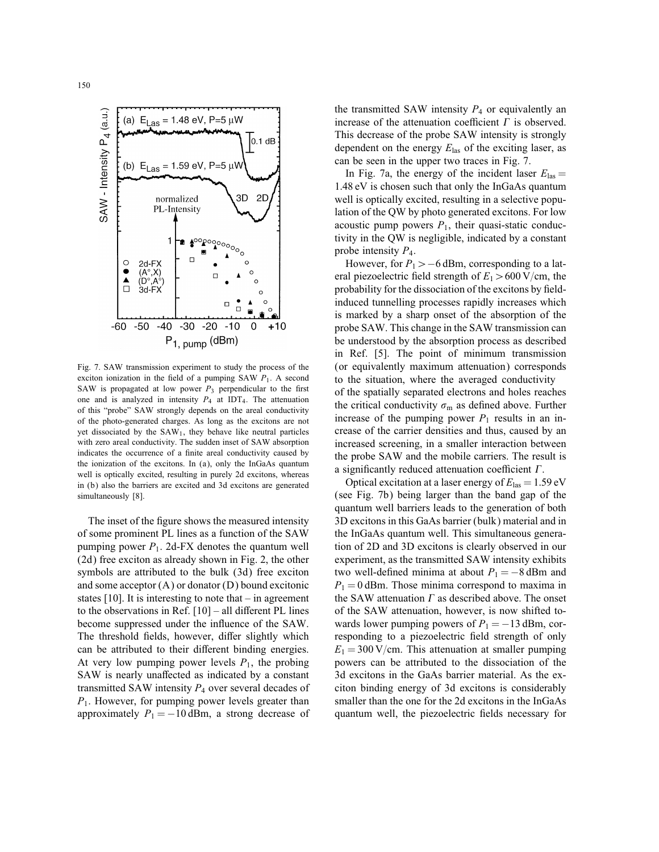

Fig. 7. SAW transmission experiment to study the process of the exciton ionization in the field of a pumping SAW  $P_1$ . A second SAW is propagated at low power  $P_3$  perpendicular to the first one and is analyzed in intensity  $P_4$  at IDT<sub>4</sub>. The attenuation of this "probe" SAW strongly depends on the areal conductivity of the photo-generated charges. As long as the excitons are not yet dissociated by the SAW1, they behave like neutral particles with zero areal conductivity. The sudden inset of SAW absorption indicates the occurrence of a finite areal conductivity caused by the ionization of the excitons. In (a), only the InGaAs quantum well is optically excited, resulting in purely 2d excitons, whereas in (b) also the barriers are excited and 3d excitons are generated simultaneously [8].

The inset of the figure shows the measured intensity of some prominent PL lines as a function of the SAW pumping power  $P_1$ . 2d-FX denotes the quantum well (2d) free exciton as already shown in Fig. 2, the other symbols are attributed to the bulk (3d) free exciton and some acceptor (A) or donator (D) bound excitonic states [10]. It is interesting to note that – in agreement to the observations in Ref.  $[10]$  – all different PL lines become suppressed under the influence of the SAW. The threshold fields, however, differ slightly which can be attributed to their different binding energies. At very low pumping power levels  $P_1$ , the probing SAW is nearly unaffected as indicated by a constant transmitted SAW intensity  $P_4$  over several decades of  $P_1$ . However, for pumping power levels greater than approximately  $P_1 = -10$  dBm, a strong decrease of

the transmitted SAW intensity  $P_4$  or equivalently an increase of the attenuation coefficient  $\Gamma$  is observed. This decrease of the probe SAW intensity is strongly dependent on the energy  $E_{\text{las}}$  of the exciting laser, as can be seen in the upper two traces in Fig. 7.

In Fig. 7a, the energy of the incident laser  $E_{\text{las}} =$ 1:48 eV is chosen such that only the InGaAs quantum well is optically excited, resulting in a selective population of the QW by photo generated excitons. For low acoustic pump powers  $P_1$ , their quasi-static conductivity in the QW is negligible, indicated by a constant probe intensity  $P_4$ .

However, for  $P_1$  > −6 dBm, corresponding to a lateral piezoelectric field strength of  $E_1 > 600$  V/cm, the probability for the dissociation of the excitons by fieldinduced tunnelling processes rapidly increases which is marked by a sharp onset of the absorption of the probe SAW. This change in the SAW transmission can be understood by the absorption process as described in Ref. [5]. The point of minimum transmission (or equivalently maximum attenuation) corresponds to the situation, where the averaged conductivity of the spatially separated electrons and holes reaches the critical conductivity  $\sigma_{\rm m}$  as defined above. Further increase of the pumping power  $P_1$  results in an increase of the carrier densities and thus, caused by an increased screening, in a smaller interaction between the probe SAW and the mobile carriers. The result is a significantly reduced attenuation coefficient  $\Gamma$ .

Optical excitation at a laser energy of  $E_{\text{las}} = 1.59 \text{ eV}$ (see Fig. 7b) being larger than the band gap of the quantum well barriers leads to the generation of both 3D excitons in this GaAs barrier (bulk) material and in the InGaAs quantum well. This simultaneous generation of 2D and 3D excitons is clearly observed in our experiment, as the transmitted SAW intensity exhibits two well-defined minima at about  $P_1 = -8$  dBm and  $P_1 = 0$  dBm. Those minima correspond to maxima in the SAW attenuation  $\Gamma$  as described above. The onset of the SAW attenuation, however, is now shifted towards lower pumping powers of  $P_1 = -13$  dBm, corresponding to a piezoelectric field strength of only  $E_1 = 300 \text{ V/cm}$ . This attenuation at smaller pumping powers can be attributed to the dissociation of the 3d excitons in the GaAs barrier material. As the exciton binding energy of 3d excitons is considerably smaller than the one for the 2d excitons in the InGaAs quantum well, the piezoelectric fields necessary for